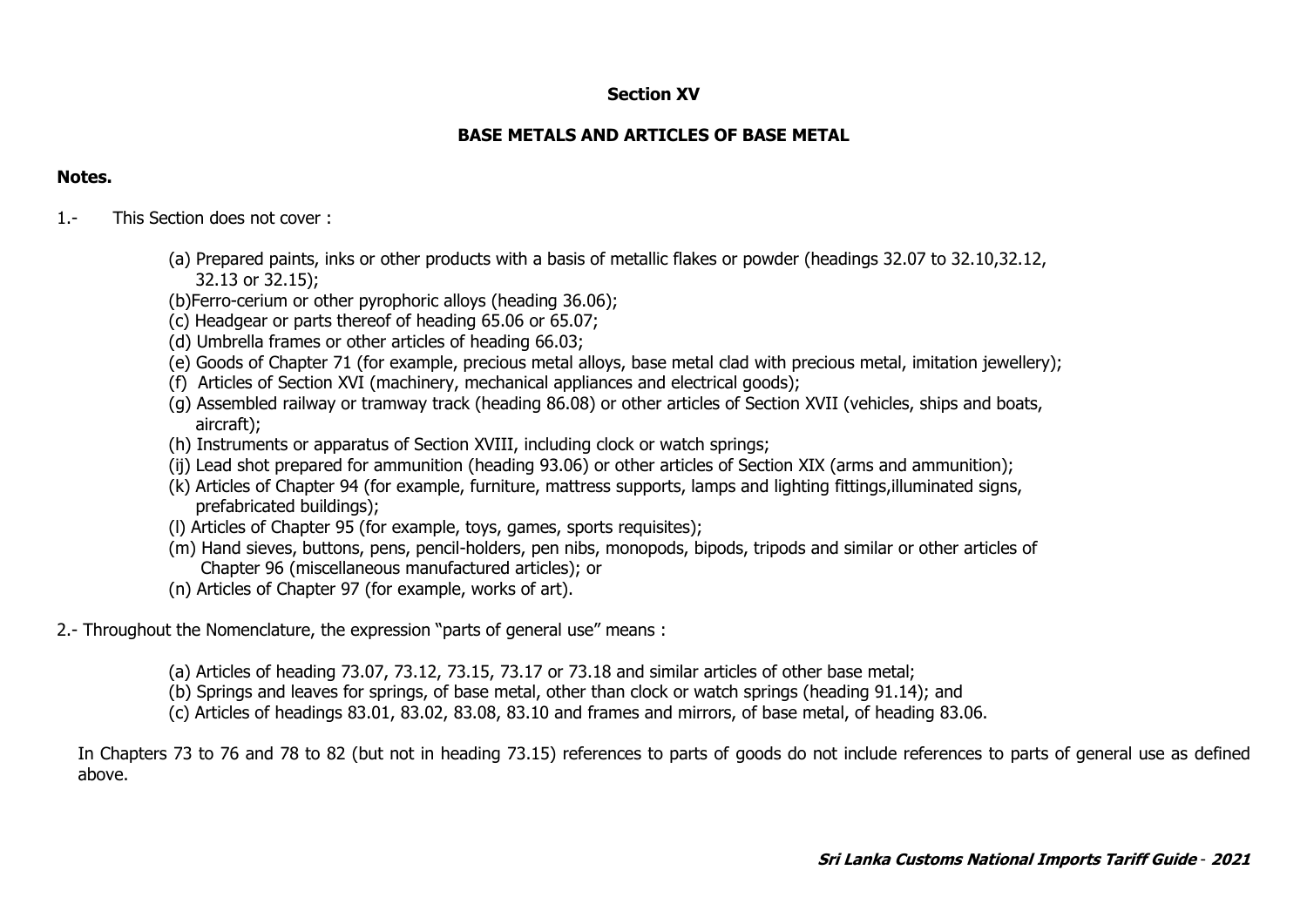## **Section XV**

# **BASE METALS AND ARTICLES OF BASE METAL**

## **Notes.**

- 1.- This Section does not cover :
	- (a) Prepared paints, inks or other products with a basis of metallic flakes or powder (headings 32.07 to 32.10,32.12, 32.13 or 32.15);
	- (b)Ferro-cerium or other pyrophoric alloys (heading 36.06);
	- (c) Headgear or parts thereof of heading 65.06 or 65.07;
	- (d) Umbrella frames or other articles of heading 66.03;
	- (e) Goods of Chapter 71 (for example, precious metal alloys, base metal clad with precious metal, imitation jewellery);
	- (f) Articles of Section XVI (machinery, mechanical appliances and electrical goods);
	- (g) Assembled railway or tramway track (heading 86.08) or other articles of Section XVII (vehicles, ships and boats, aircraft);
	- (h) Instruments or apparatus of Section XVIII, including clock or watch springs;
	- (ij) Lead shot prepared for ammunition (heading 93.06) or other articles of Section XIX (arms and ammunition);
	- (k) Articles of Chapter 94 (for example, furniture, mattress supports, lamps and lighting fittings,illuminated signs, prefabricated buildings);
	- (l) Articles of Chapter 95 (for example, toys, games, sports requisites);
	- (m) Hand sieves, buttons, pens, pencil-holders, pen nibs, monopods, bipods, tripods and similar or other articles of Chapter 96 (miscellaneous manufactured articles); or
	- (n) Articles of Chapter 97 (for example, works of art).
- 2.- Throughout the Nomenclature, the expression "parts of general use" means :
	- (a) Articles of heading 73.07, 73.12, 73.15, 73.17 or 73.18 and similar articles of other base metal;
	- (b) Springs and leaves for springs, of base metal, other than clock or watch springs (heading 91.14); and
	- (c) Articles of headings 83.01, 83.02, 83.08, 83.10 and frames and mirrors, of base metal, of heading 83.06.

In Chapters 73 to 76 and 78 to 82 (but not in heading 73.15) references to parts of goods do not include references to parts of general use as defined above.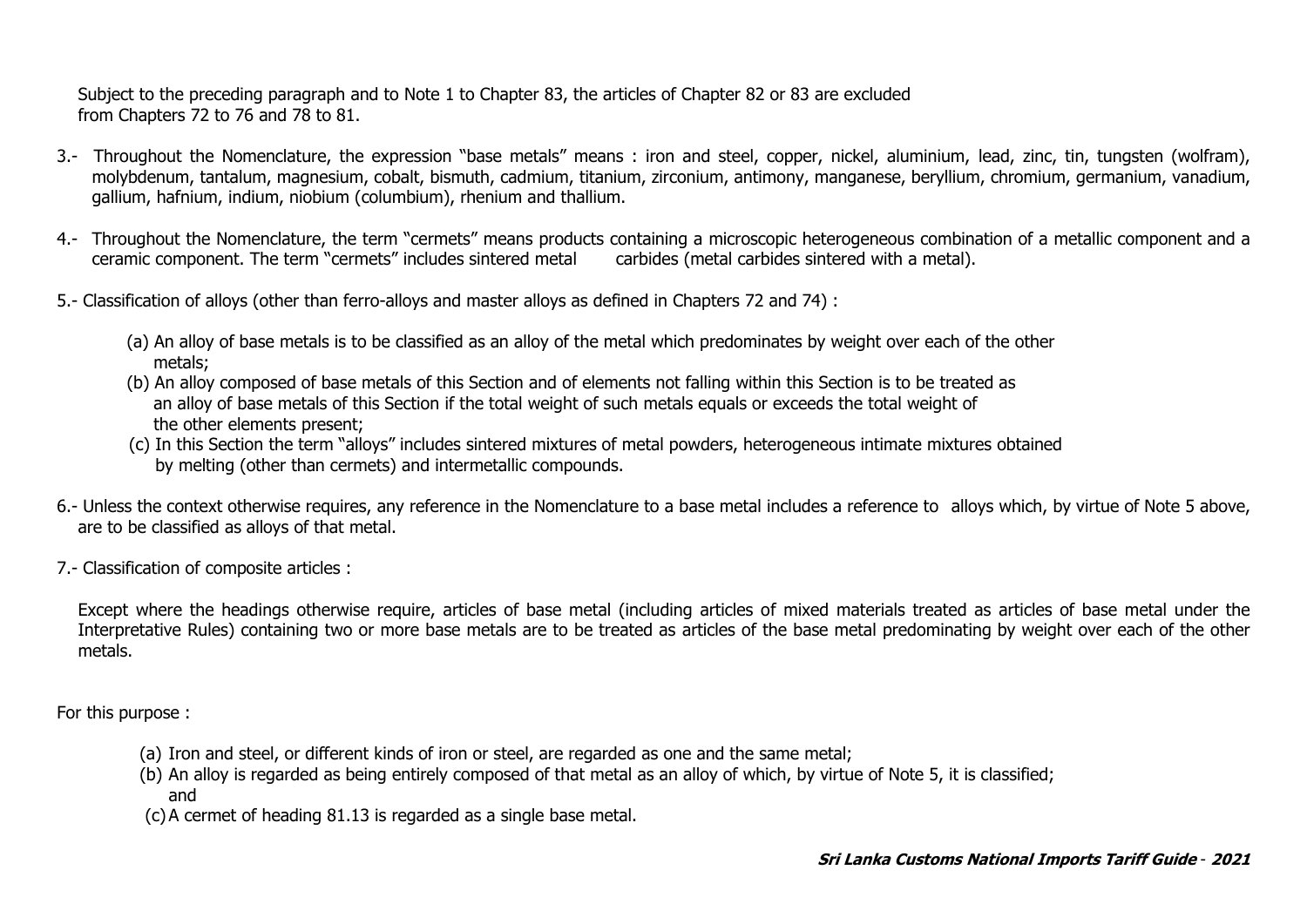Subject to the preceding paragraph and to Note 1 to Chapter 83, the articles of Chapter 82 or 83 are excluded from Chapters 72 to 76 and 78 to 81.

- 3.- Throughout the Nomenclature, the expression "base metals" means : iron and steel, copper, nickel, aluminium, lead, zinc, tin, tungsten (wolfram), molybdenum, tantalum, magnesium, cobalt, bismuth, cadmium, titanium, zirconium, antimony, manganese, beryllium, chromium, germanium, vanadium, gallium, hafnium, indium, niobium (columbium), rhenium and thallium.
- 4.- Throughout the Nomenclature, the term "cermets" means products containing a microscopic heterogeneous combination of a metallic component and a ceramic component. The term "cermets" includes sintered metal carbides (metal carbides sintered with a metal).
- 5.- Classification of alloys (other than ferro-alloys and master alloys as defined in Chapters 72 and 74) :
	- (a) An alloy of base metals is to be classified as an alloy of the metal which predominates by weight over each of the other metals;
	- (b) An alloy composed of base metals of this Section and of elements not falling within this Section is to be treated as an alloy of base metals of this Section if the total weight of such metals equals or exceeds the total weight of the other elements present;
	- (c) In this Section the term "alloys" includes sintered mixtures of metal powders, heterogeneous intimate mixtures obtained by melting (other than cermets) and intermetallic compounds.
- 6.- Unless the context otherwise requires, any reference in the Nomenclature to a base metal includes a reference to alloys which, by virtue of Note 5 above, are to be classified as alloys of that metal.
- 7.- Classification of composite articles :

Except where the headings otherwise require, articles of base metal (including articles of mixed materials treated as articles of base metal under the Interpretative Rules) containing two or more base metals are to be treated as articles of the base metal predominating by weight over each of the other metals.

For this purpose :

- (a) Iron and steel, or different kinds of iron or steel, are regarded as one and the same metal;
- (b) An alloy is regarded as being entirely composed of that metal as an alloy of which, by virtue of Note 5, it is classified; and
- (c) A cermet of heading 81.13 is regarded as a single base metal.